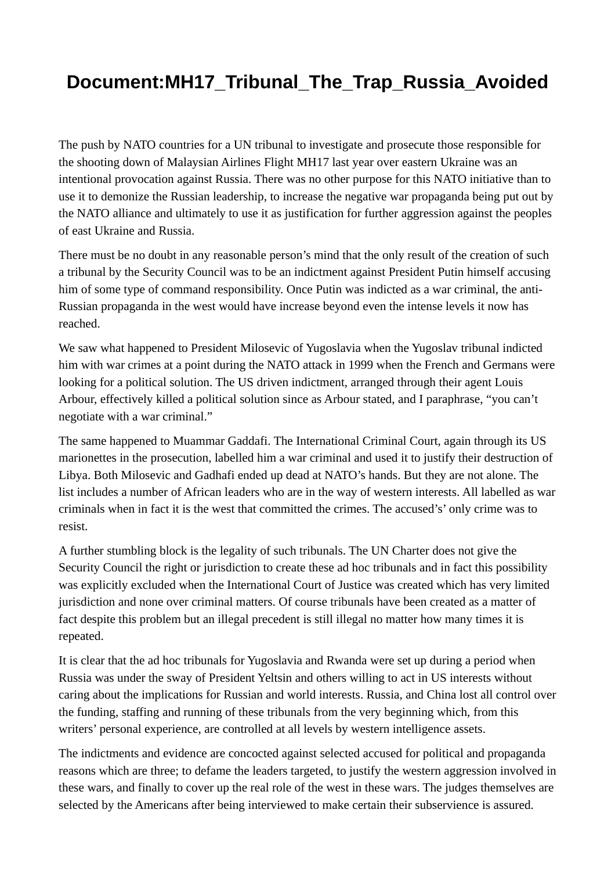## **Document:MH17\_Tribunal\_The\_Trap\_Russia\_Avoided**

The push by NATO countries for a UN tribunal to investigate and prosecute those responsible for the shooting down of Malaysian Airlines Flight MH17 last year over eastern Ukraine was an intentional provocation against Russia. There was no other purpose for this NATO initiative than to use it to demonize the Russian leadership, to increase the negative war propaganda being put out by the NATO alliance and ultimately to use it as justification for further aggression against the peoples of east Ukraine and Russia.

There must be no doubt in any reasonable person's mind that the only result of the creation of such a tribunal by the Security Council was to be an indictment against President Putin himself accusing him of some type of command responsibility. Once Putin was indicted as a war criminal, the anti-Russian propaganda in the west would have increase beyond even the intense levels it now has reached.

We saw what happened to President Milosevic of Yugoslavia when the Yugoslav tribunal indicted him with war crimes at a point during the NATO attack in 1999 when the French and Germans were looking for a political solution. The US driven indictment, arranged through their agent Louis Arbour, effectively killed a political solution since as Arbour stated, and I paraphrase, "you can't negotiate with a war criminal."

The same happened to Muammar Gaddafi. The International Criminal Court, again through its US marionettes in the prosecution, labelled him a war criminal and used it to justify their destruction of Libya. Both Milosevic and Gadhafi ended up dead at NATO's hands. But they are not alone. The list includes a number of African leaders who are in the way of western interests. All labelled as war criminals when in fact it is the west that committed the crimes. The accused's' only crime was to resist.

A further stumbling block is the legality of such tribunals. The UN Charter does not give the Security Council the right or jurisdiction to create these ad hoc tribunals and in fact this possibility was explicitly excluded when the International Court of Justice was created which has very limited jurisdiction and none over criminal matters. Of course tribunals have been created as a matter of fact despite this problem but an illegal precedent is still illegal no matter how many times it is repeated.

It is clear that the ad hoc tribunals for Yugoslavia and Rwanda were set up during a period when Russia was under the sway of President Yeltsin and others willing to act in US interests without caring about the implications for Russian and world interests. Russia, and China lost all control over the funding, staffing and running of these tribunals from the very beginning which, from this writers' personal experience, are controlled at all levels by western intelligence assets.

The indictments and evidence are concocted against selected accused for political and propaganda reasons which are three; to defame the leaders targeted, to justify the western aggression involved in these wars, and finally to cover up the real role of the west in these wars. The judges themselves are selected by the Americans after being interviewed to make certain their subservience is assured.